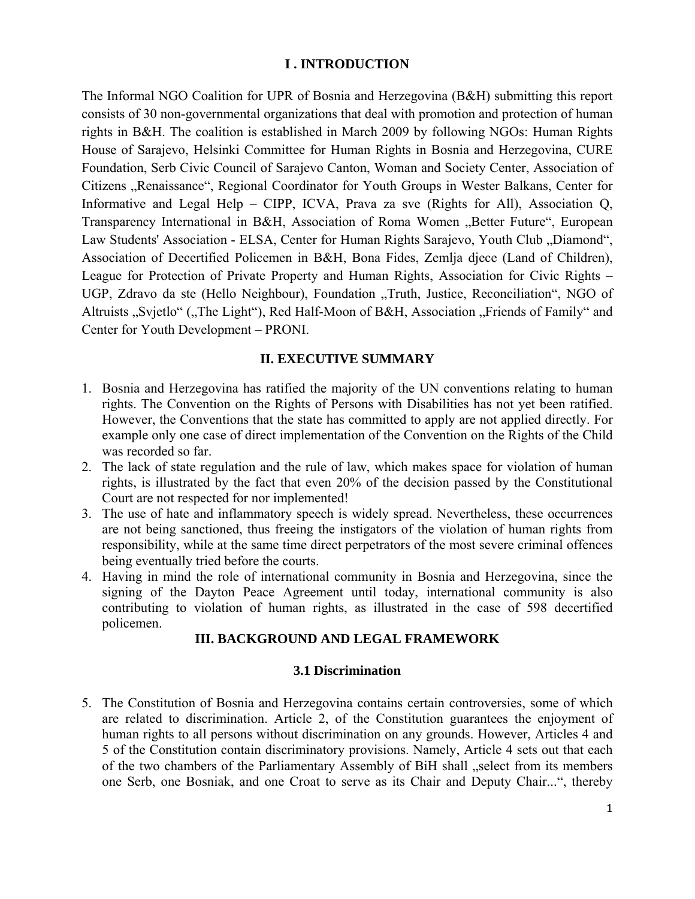### **I . INTRODUCTION**

The Informal NGO Coalition for UPR of Bosnia and Herzegovina (B&H) submitting this report consists of 30 non-governmental organizations that deal with promotion and protection of human rights in B&H. The coalition is established in March 2009 by following NGOs: Human Rights House of Sarajevo, Helsinki Committee for Human Rights in Bosnia and Herzegovina, CURE Foundation, Serb Civic Council of Sarajevo Canton, Woman and Society Center, Association of Citizens "Renaissance", Regional Coordinator for Youth Groups in Wester Balkans, Center for Informative and Legal Help – CIPP, ICVA, Prava za sve (Rights for All), Association Q, Transparency International in B&H, Association of Roma Women "Better Future", European Law Students' Association - ELSA, Center for Human Rights Sarajevo, Youth Club "Diamond", Association of Decertified Policemen in B&H, Bona Fides, Zemlja djece (Land of Children), League for Protection of Private Property and Human Rights, Association for Civic Rights – UGP, Zdravo da ste (Hello Neighbour), Foundation "Truth, Justice, Reconciliation", NGO of Altruists "Svjetlo" ("The Light"), Red Half-Moon of B&H, Association "Friends of Family" and Center for Youth Development – PRONI.

# **II. EXECUTIVE SUMMARY**

- 1. Bosnia and Herzegovina has ratified the majority of the UN conventions relating to human rights. The Convention on the Rights of Persons with Disabilities has not yet been ratified. However, the Conventions that the state has committed to apply are not applied directly. For example only one case of direct implementation of the Convention on the Rights of the Child was recorded so far.
- 2. The lack of state regulation and the rule of law, which makes space for violation of human rights, is illustrated by the fact that even 20% of the decision passed by the Constitutional Court are not respected for nor implemented!
- 3. The use of hate and inflammatory speech is widely spread. Nevertheless, these occurrences are not being sanctioned, thus freeing the instigators of the violation of human rights from responsibility, while at the same time direct perpetrators of the most severe criminal offences being eventually tried before the courts.
- 4. Having in mind the role of international community in Bosnia and Herzegovina, since the signing of the Dayton Peace Agreement until today, international community is also contributing to violation of human rights, as illustrated in the case of 598 decertified policemen.

### **III. BACKGROUND AND LEGAL FRAMEWORK**

### **3.1 Discrimination**

5. The Constitution of Bosnia and Herzegovina contains certain controversies, some of which are related to discrimination. Article 2, of the Constitution guarantees the enjoyment of human rights to all persons without discrimination on any grounds. However, Articles 4 and 5 of the Constitution contain discriminatory provisions. Namely, Article 4 sets out that each of the two chambers of the Parliamentary Assembly of BiH shall "select from its members one Serb, one Bosniak, and one Croat to serve as its Chair and Deputy Chair...", thereby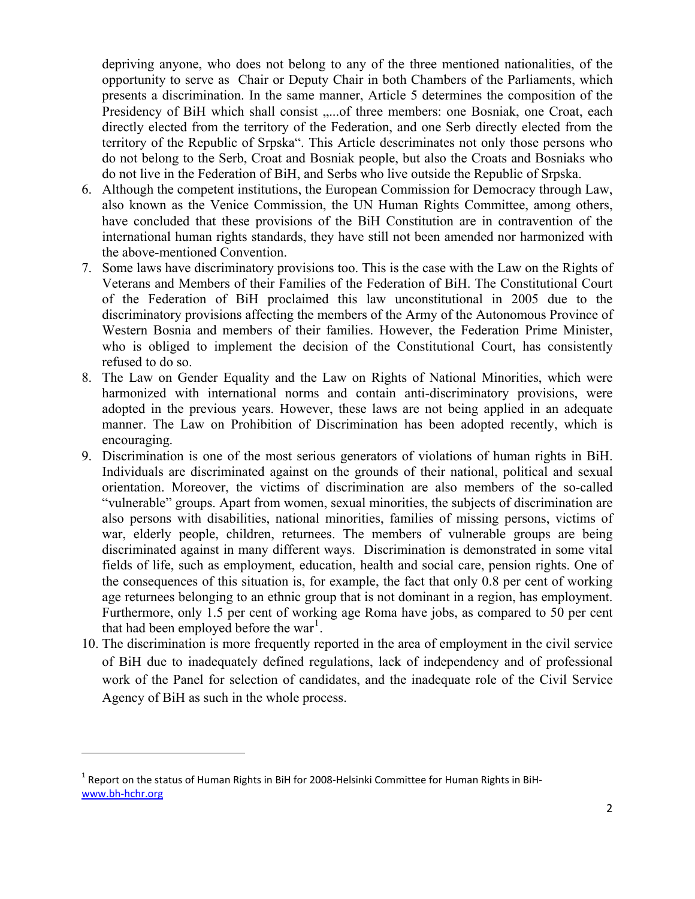depriving anyone, who does not belong to any of the three mentioned nationalities, of the opportunity to serve as Chair or Deputy Chair in both Chambers of the Parliaments, which presents a discrimination. In the same manner, Article 5 determines the composition of the Presidency of BiH which shall consist .....of three members: one Bosniak, one Croat, each directly elected from the territory of the Federation, and one Serb directly elected from the territory of the Republic of Srpska". This Article descriminates not only those persons who do not belong to the Serb, Croat and Bosniak people, but also the Croats and Bosniaks who do not live in the Federation of BiH, and Serbs who live outside the Republic of Srpska.

- 6. Although the competent institutions, the European Commission for Democracy through Law, also known as the Venice Commission, the UN Human Rights Committee, among others, have concluded that these provisions of the BiH Constitution are in contravention of the international human rights standards, they have still not been amended nor harmonized with the above-mentioned Convention.
- 7. Some laws have discriminatory provisions too. This is the case with the Law on the Rights of Veterans and Members of their Families of the Federation of BiH. The Constitutional Court of the Federation of BiH proclaimed this law unconstitutional in 2005 due to the discriminatory provisions affecting the members of the Army of the Autonomous Province of Western Bosnia and members of their families. However, the Federation Prime Minister, who is obliged to implement the decision of the Constitutional Court, has consistently refused to do so.
- 8. The Law on Gender Equality and the Law on Rights of National Minorities, which were harmonized with international norms and contain anti-discriminatory provisions, were adopted in the previous years. However, these laws are not being applied in an adequate manner. The Law on Prohibition of Discrimination has been adopted recently, which is encouraging.
- 9. Discrimination is one of the most serious generators of violations of human rights in BiH. Individuals are discriminated against on the grounds of their national, political and sexual orientation. Moreover, the victims of discrimination are also members of the so-called "vulnerable" groups. Apart from women, sexual minorities, the subjects of discrimination are also persons with disabilities, national minorities, families of missing persons, victims of war, elderly people, children, returnees. The members of vulnerable groups are being discriminated against in many different ways. Discrimination is demonstrated in some vital fields of life, such as employment, education, health and social care, pension rights. One of the consequences of this situation is, for example, the fact that only 0.8 per cent of working age returnees belonging to an ethnic group that is not dominant in a region, has employment. Furthermore, only 1.5 per cent of working age Roma have jobs, as compared to 50 per cent that had been employed before the war<sup>[1](#page-1-0)</sup>.
- 10. The discrimination is more frequently reported in the area of employment in the civil service of BiH due to inadequately defined regulations, lack of independency and of professional work of the Panel for selection of candidates, and the inadequate role of the Civil Service Agency of BiH as such in the whole process.

<span id="page-1-0"></span><sup>&</sup>lt;sup>1</sup> Report on the status of Human Rights in BiH for 2008-Helsinki Committee for Human Rights in BiH[www.bh](http://www.bh-hchr.org/)‐hchr.org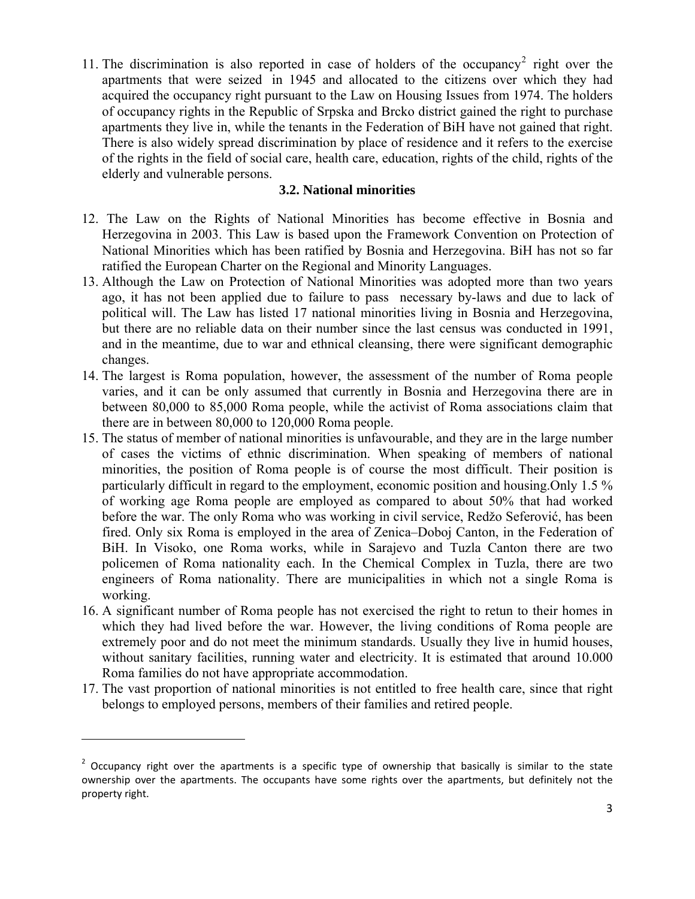11. The discrimination is also reported in case of holders of the occupancy<sup>[2](#page-2-0)</sup> right over the apartments that were seized in 1945 and allocated to the citizens over which they had acquired the occupancy right pursuant to the Law on Housing Issues from 1974. The holders of occupancy rights in the Republic of Srpska and Brcko district gained the right to purchase apartments they live in, while the tenants in the Federation of BiH have not gained that right. There is also widely spread discrimination by place of residence and it refers to the exercise of the rights in the field of social care, health care, education, rights of the child, rights of the elderly and vulnerable persons.

## **3.2. National minorities**

- 12. The Law on the Rights of National Minorities has become effective in Bosnia and Herzegovina in 2003. This Law is based upon the Framework Convention on Protection of National Minorities which has been ratified by Bosnia and Herzegovina. BiH has not so far ratified the European Charter on the Regional and Minority Languages.
- 13. Although the Law on Protection of National Minorities was adopted more than two years ago, it has not been applied due to failure to pass necessary by-laws and due to lack of political will. The Law has listed 17 national minorities living in Bosnia and Herzegovina, but there are no reliable data on their number since the last census was conducted in 1991, and in the meantime, due to war and ethnical cleansing, there were significant demographic changes.
- 14. The largest is Roma population, however, the assessment of the number of Roma people varies, and it can be only assumed that currently in Bosnia and Herzegovina there are in between 80,000 to 85,000 Roma people, while the activist of Roma associations claim that there are in between 80,000 to 120,000 Roma people.
- 15. The status of member of national minorities is unfavourable, and they are in the large number of cases the victims of ethnic discrimination. When speaking of members of national minorities, the position of Roma people is of course the most difficult. Their position is particularly difficult in regard to the employment, economic position and housing.Only 1.5 % of working age Roma people are employed as compared to about 50% that had worked before the war. The only Roma who was working in civil service, Redžo Seferović, has been fired. Only six Roma is employed in the area of Zenica–Doboj Canton, in the Federation of BiH. In Visoko, one Roma works, while in Sarajevo and Tuzla Canton there are two policemen of Roma nationality each. In the Chemical Complex in Tuzla, there are two engineers of Roma nationality. There are municipalities in which not a single Roma is working.
- 16. A significant number of Roma people has not exercised the right to retun to their homes in which they had lived before the war. However, the living conditions of Roma people are extremely poor and do not meet the minimum standards. Usually they live in humid houses, without sanitary facilities, running water and electricity. It is estimated that around 10.000 Roma families do not have appropriate accommodation.
- 17. The vast proportion of national minorities is not entitled to free health care, since that right belongs to employed persons, members of their families and retired people.

<span id="page-2-0"></span><sup>&</sup>lt;sup>2</sup> Occupancy right over the apartments is a specific type of ownership that basically is similar to the state ownership over the apartments. The occupants have some rights over the apartments, but definitely not the property right.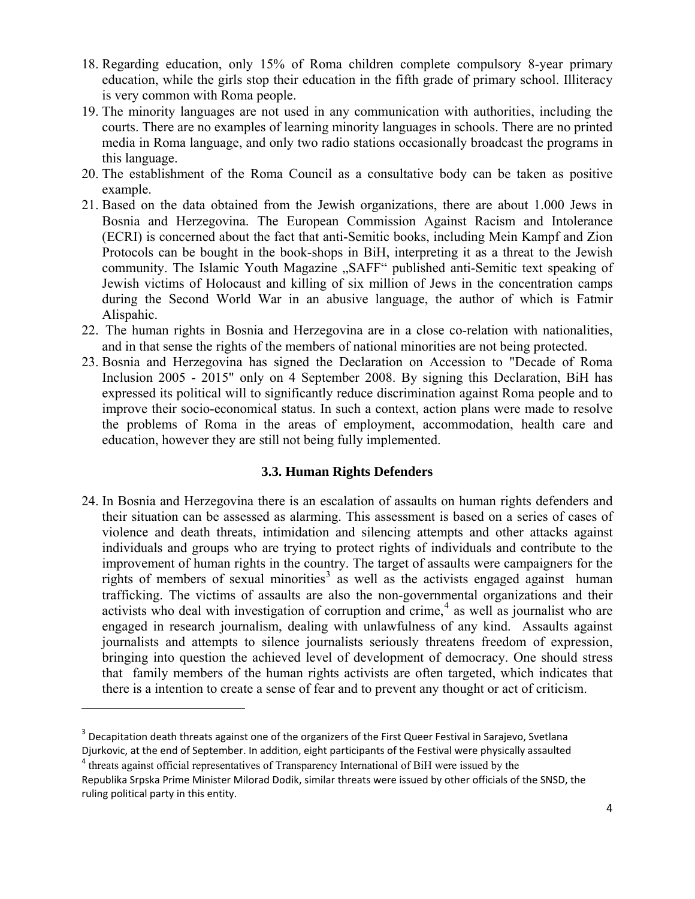- 18. Regarding education, only 15% of Roma children complete compulsory 8-year primary education, while the girls stop their education in the fifth grade of primary school. Illiteracy is very common with Roma people.
- 19. The minority languages are not used in any communication with authorities, including the courts. There are no examples of learning minority languages in schools. There are no printed media in Roma language, and only two radio stations occasionally broadcast the programs in this language.
- 20. The establishment of the Roma Council as a consultative body can be taken as positive example.
- 21. Based on the data obtained from the Jewish organizations, there are about 1.000 Jews in Bosnia and Herzegovina. The European Commission Against Racism and Intolerance (ECRI) is concerned about the fact that anti-Semitic books, including Mein Kampf and Zion Protocols can be bought in the book-shops in BiH, interpreting it as a threat to the Jewish community. The Islamic Youth Magazine "SAFF" published anti-Semitic text speaking of Jewish victims of Holocaust and killing of six million of Jews in the concentration camps during the Second World War in an abusive language, the author of which is Fatmir Alispahic.
- 22. The human rights in Bosnia and Herzegovina are in a close co-relation with nationalities, and in that sense the rights of the members of national minorities are not being protected.
- 23. Bosnia and Herzegovina has signed the Declaration on Accession to "Decade of Roma Inclusion 2005 - 2015" only on 4 September 2008. By signing this Declaration, BiH has expressed its political will to significantly reduce discrimination against Roma people and to improve their socio-economical status. In such a context, action plans were made to resolve the problems of Roma in the areas of employment, accommodation, health care and education, however they are still not being fully implemented.

# **3.3. Human Rights Defenders**

24. In Bosnia and Herzegovina there is an escalation of assaults on human rights defenders and their situation can be assessed as alarming. This assessment is based on a series of cases of violence and death threats, intimidation and silencing attempts and other attacks against individuals and groups who are trying to protect rights of individuals and contribute to the improvement of human rights in the country. The target of assaults were campaigners for the rights of members of sexual minorities<sup>[3](#page-3-0)</sup> as well as the activists engaged against human trafficking. The victims of assaults are also the non-governmental organizations and their activists who deal with investigation of corruption and crime,<sup>[4](#page-3-1)</sup> as well as journalist who are engaged in research journalism, dealing with unlawfulness of any kind. Assaults against journalists and attempts to silence journalists seriously threatens freedom of expression, bringing into question the achieved level of development of democracy. One should stress that family members of the human rights activists are often targeted, which indicates that there is a intention to create a sense of fear and to prevent any thought or act of criticism.

<span id="page-3-0"></span><sup>&</sup>lt;sup>3</sup> Decapitation death threats against one of the organizers of the First Queer Festival in Sarajevo, Svetlana Djurkovic, at the end of September. In addition, eight participants of the Festival were physically assaulted

<span id="page-3-1"></span><sup>4</sup> threats against official representatives of Transparency International of BiH were issued by the

Republika Srpska Prime Minister Milorad Dodik, similar threats were issued by other officials of the SNSD, the ruling political party in this entity.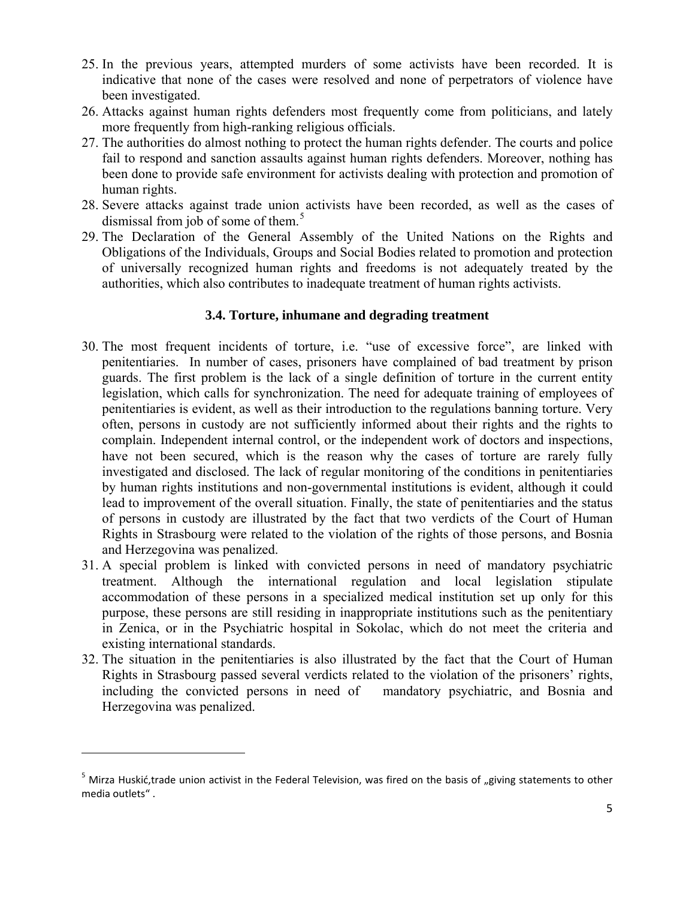- 25. In the previous years, attempted murders of some activists have been recorded. It is indicative that none of the cases were resolved and none of perpetrators of violence have been investigated.
- 26. Attacks against human rights defenders most frequently come from politicians, and lately more frequently from high-ranking religious officials.
- 27. The authorities do almost nothing to protect the human rights defender. The courts and police fail to respond and sanction assaults against human rights defenders. Moreover, nothing has been done to provide safe environment for activists dealing with protection and promotion of human rights.
- 28. Severe attacks against trade union activists have been recorded, as well as the cases of dismissal from job of some of them. $5$
- 29. The Declaration of the General Assembly of the United Nations on the Rights and Obligations of the Individuals, Groups and Social Bodies related to promotion and protection of universally recognized human rights and freedoms is not adequately treated by the authorities, which also contributes to inadequate treatment of human rights activists.

## **3.4. Torture, inhumane and degrading treatment**

- 30. The most frequent incidents of torture, i.e. "use of excessive force", are linked with penitentiaries. In number of cases, prisoners have complained of bad treatment by prison guards. The first problem is the lack of a single definition of torture in the current entity legislation, which calls for synchronization. The need for adequate training of employees of penitentiaries is evident, as well as their introduction to the regulations banning torture. Very often, persons in custody are not sufficiently informed about their rights and the rights to complain. Independent internal control, or the independent work of doctors and inspections, have not been secured, which is the reason why the cases of torture are rarely fully investigated and disclosed. The lack of regular monitoring of the conditions in penitentiaries by human rights institutions and non-governmental institutions is evident, although it could lead to improvement of the overall situation. Finally, the state of penitentiaries and the status of persons in custody are illustrated by the fact that two verdicts of the Court of Human Rights in Strasbourg were related to the violation of the rights of those persons, and Bosnia and Herzegovina was penalized.
- 31. A special problem is linked with convicted persons in need of mandatory psychiatric treatment. Although the international regulation and local legislation stipulate accommodation of these persons in a specialized medical institution set up only for this purpose, these persons are still residing in inappropriate institutions such as the penitentiary in Zenica, or in the Psychiatric hospital in Sokolac, which do not meet the criteria and existing international standards.
- 32. The situation in the penitentiaries is also illustrated by the fact that the Court of Human Rights in Strasbourg passed several verdicts related to the violation of the prisoners' rights, including the convicted persons in need of mandatory psychiatric, and Bosnia and Herzegovina was penalized.

<span id="page-4-0"></span> $5$  Mirza Huskić,trade union activist in the Federal Television, was fired on the basis of "giving statements to other media outlets" .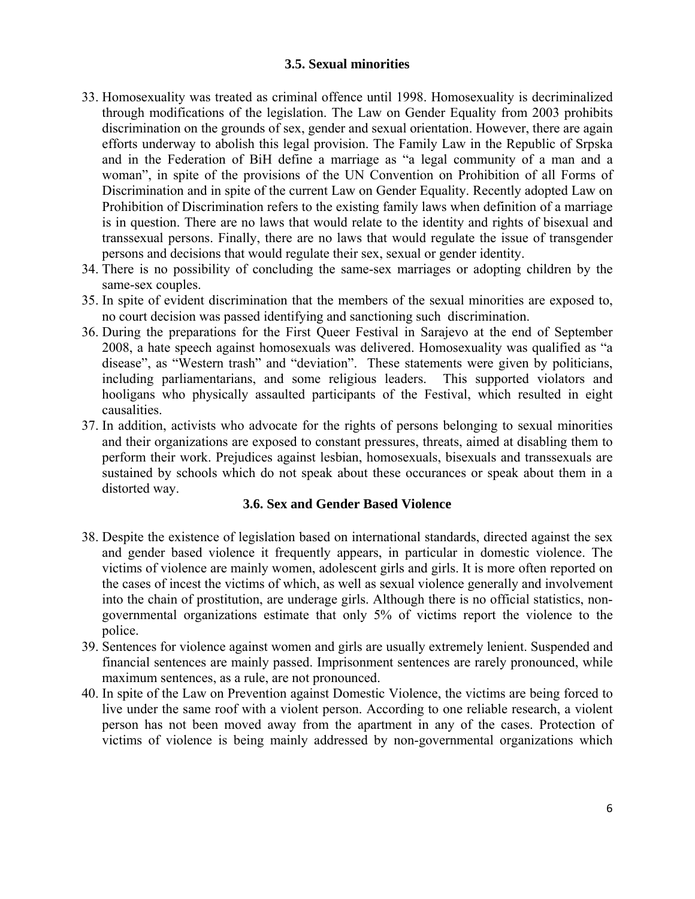### **3.5. Sexual minorities**

- 33. Homosexuality was treated as criminal offence until 1998. Homosexuality is decriminalized through modifications of the legislation. The Law on Gender Equality from 2003 prohibits discrimination on the grounds of sex, gender and sexual orientation. However, there are again efforts underway to abolish this legal provision. The Family Law in the Republic of Srpska and in the Federation of BiH define a marriage as "a legal community of a man and a woman", in spite of the provisions of the UN Convention on Prohibition of all Forms of Discrimination and in spite of the current Law on Gender Equality. Recently adopted Law on Prohibition of Discrimination refers to the existing family laws when definition of a marriage is in question. There are no laws that would relate to the identity and rights of bisexual and transsexual persons. Finally, there are no laws that would regulate the issue of transgender persons and decisions that would regulate their sex, sexual or gender identity.
- 34. There is no possibility of concluding the same-sex marriages or adopting children by the same-sex couples.
- 35. In spite of evident discrimination that the members of the sexual minorities are exposed to, no court decision was passed identifying and sanctioning such discrimination.
- 36. During the preparations for the First Queer Festival in Sarajevo at the end of September 2008, a hate speech against homosexuals was delivered. Homosexuality was qualified as "a disease", as "Western trash" and "deviation". These statements were given by politicians, including parliamentarians, and some religious leaders. This supported violators and hooligans who physically assaulted participants of the Festival, which resulted in eight causalities.
- 37. In addition, activists who advocate for the rights of persons belonging to sexual minorities and their organizations are exposed to constant pressures, threats, aimed at disabling them to perform their work. Prejudices against lesbian, homosexuals, bisexuals and transsexuals are sustained by schools which do not speak about these occurances or speak about them in a distorted way.

# **3.6. Sex and Gender Based Violence**

- 38. Despite the existence of legislation based on international standards, directed against the sex and gender based violence it frequently appears, in particular in domestic violence. The victims of violence are mainly women, adolescent girls and girls. It is more often reported on the cases of incest the victims of which, as well as sexual violence generally and involvement into the chain of prostitution, are underage girls. Although there is no official statistics, nongovernmental organizations estimate that only 5% of victims report the violence to the police.
- 39. Sentences for violence against women and girls are usually extremely lenient. Suspended and financial sentences are mainly passed. Imprisonment sentences are rarely pronounced, while maximum sentences, as a rule, are not pronounced.
- 40. In spite of the Law on Prevention against Domestic Violence, the victims are being forced to live under the same roof with a violent person. According to one reliable research, a violent person has not been moved away from the apartment in any of the cases. Protection of victims of violence is being mainly addressed by non-governmental organizations which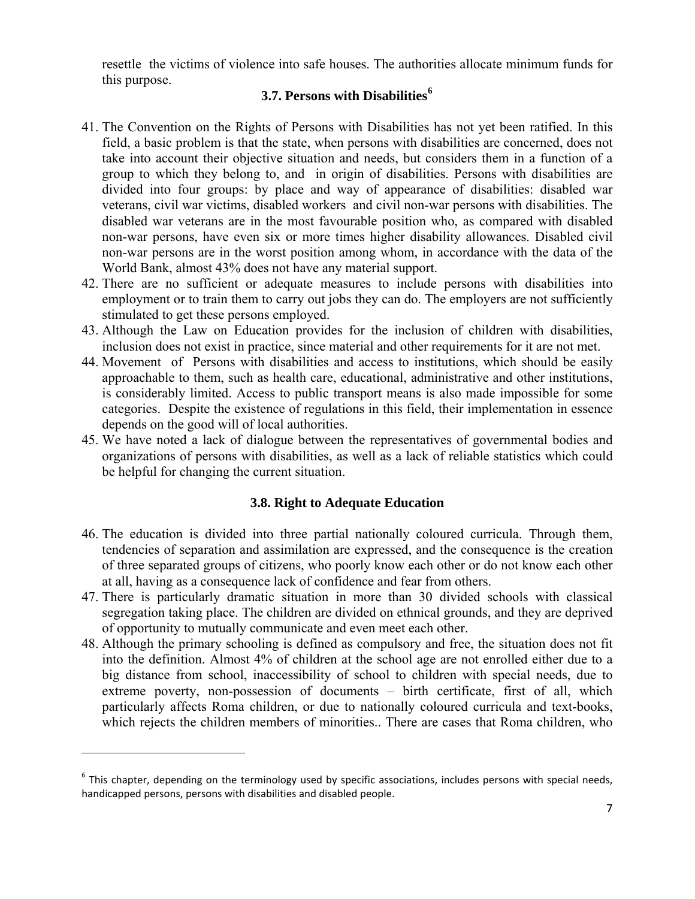resettle the victims of violence into safe houses. The authorities allocate minimum funds for this purpose.

# **3.7. Persons with Disabilities[6](#page-6-0)**

- 41. The Convention on the Rights of Persons with Disabilities has not yet been ratified. In this field, a basic problem is that the state, when persons with disabilities are concerned, does not take into account their objective situation and needs, but considers them in a function of a group to which they belong to, and in origin of disabilities. Persons with disabilities are divided into four groups: by place and way of appearance of disabilities: disabled war veterans, civil war victims, disabled workers and civil non-war persons with disabilities. The disabled war veterans are in the most favourable position who, as compared with disabled non-war persons, have even six or more times higher disability allowances. Disabled civil non-war persons are in the worst position among whom, in accordance with the data of the World Bank, almost 43% does not have any material support.
- 42. There are no sufficient or adequate measures to include persons with disabilities into employment or to train them to carry out jobs they can do. The employers are not sufficiently stimulated to get these persons employed.
- 43. Although the Law on Education provides for the inclusion of children with disabilities, inclusion does not exist in practice, since material and other requirements for it are not met.
- 44. Movement of Persons with disabilities and access to institutions, which should be easily approachable to them, such as health care, educational, administrative and other institutions, is considerably limited. Access to public transport means is also made impossible for some categories. Despite the existence of regulations in this field, their implementation in essence depends on the good will of local authorities.
- 45. We have noted a lack of dialogue between the representatives of governmental bodies and organizations of persons with disabilities, as well as a lack of reliable statistics which could be helpful for changing the current situation.

# **3.8. Right to Adequate Education**

- 46. The education is divided into three partial nationally coloured curricula. Through them, tendencies of separation and assimilation are expressed, and the consequence is the creation of three separated groups of citizens, who poorly know each other or do not know each other at all, having as a consequence lack of confidence and fear from others.
- 47. There is particularly dramatic situation in more than 30 divided schools with classical segregation taking place. The children are divided on ethnical grounds, and they are deprived of opportunity to mutually communicate and even meet each other.
- 48. Although the primary schooling is defined as compulsory and free, the situation does not fit into the definition. Almost 4% of children at the school age are not enrolled either due to a big distance from school, inaccessibility of school to children with special needs, due to extreme poverty, non-possession of documents – birth certificate, first of all, which particularly affects Roma children, or due to nationally coloured curricula and text-books, which rejects the children members of minorities.. There are cases that Roma children, who

<span id="page-6-0"></span> $6$  This chapter, depending on the terminology used by specific associations, includes persons with special needs, handicapped persons, persons with disabilities and disabled people.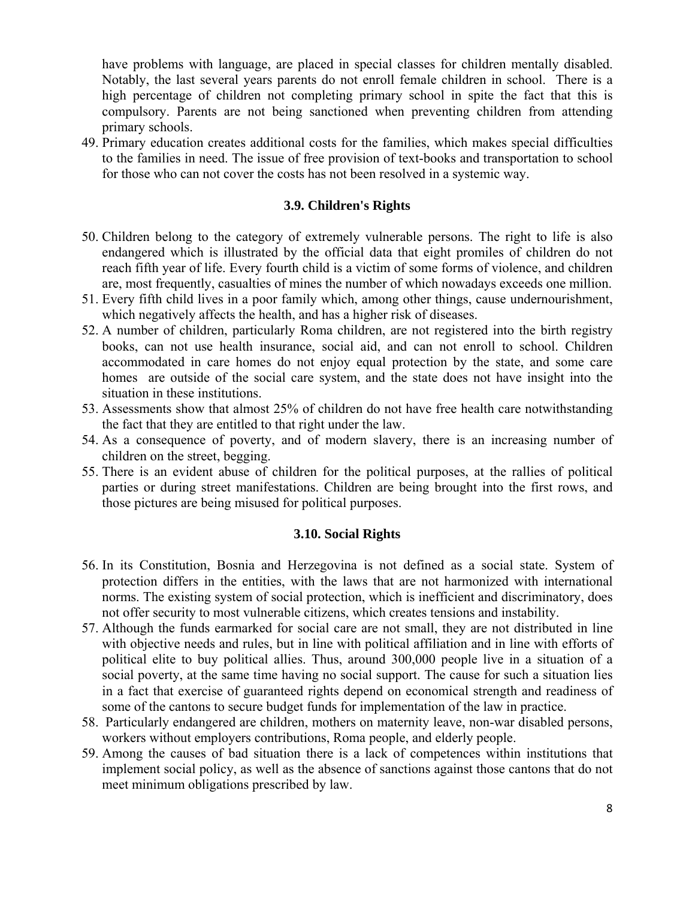have problems with language, are placed in special classes for children mentally disabled. Notably, the last several years parents do not enroll female children in school. There is a high percentage of children not completing primary school in spite the fact that this is compulsory. Parents are not being sanctioned when preventing children from attending primary schools.

49. Primary education creates additional costs for the families, which makes special difficulties to the families in need. The issue of free provision of text-books and transportation to school for those who can not cover the costs has not been resolved in a systemic way.

### **3.9. Children's Rights**

- 50. Children belong to the category of extremely vulnerable persons. The right to life is also endangered which is illustrated by the official data that eight promiles of children do not reach fifth year of life. Every fourth child is a victim of some forms of violence, and children are, most frequently, casualties of mines the number of which nowadays exceeds one million.
- 51. Every fifth child lives in a poor family which, among other things, cause undernourishment, which negatively affects the health, and has a higher risk of diseases.
- 52. A number of children, particularly Roma children, are not registered into the birth registry books, can not use health insurance, social aid, and can not enroll to school. Children accommodated in care homes do not enjoy equal protection by the state, and some care homes are outside of the social care system, and the state does not have insight into the situation in these institutions.
- 53. Assessments show that almost 25% of children do not have free health care notwithstanding the fact that they are entitled to that right under the law.
- 54. As a consequence of poverty, and of modern slavery, there is an increasing number of children on the street, begging.
- 55. There is an evident abuse of children for the political purposes, at the rallies of political parties or during street manifestations. Children are being brought into the first rows, and those pictures are being misused for political purposes.

#### **3.10. Social Rights**

- 56. In its Constitution, Bosnia and Herzegovina is not defined as a social state. System of protection differs in the entities, with the laws that are not harmonized with international norms. The existing system of social protection, which is inefficient and discriminatory, does not offer security to most vulnerable citizens, which creates tensions and instability.
- 57. Although the funds earmarked for social care are not small, they are not distributed in line with objective needs and rules, but in line with political affiliation and in line with efforts of political elite to buy political allies. Thus, around 300,000 people live in a situation of a social poverty, at the same time having no social support. The cause for such a situation lies in a fact that exercise of guaranteed rights depend on economical strength and readiness of some of the cantons to secure budget funds for implementation of the law in practice.
- 58. Particularly endangered are children, mothers on maternity leave, non-war disabled persons, workers without employers contributions, Roma people, and elderly people.
- 59. Among the causes of bad situation there is a lack of competences within institutions that implement social policy, as well as the absence of sanctions against those cantons that do not meet minimum obligations prescribed by law.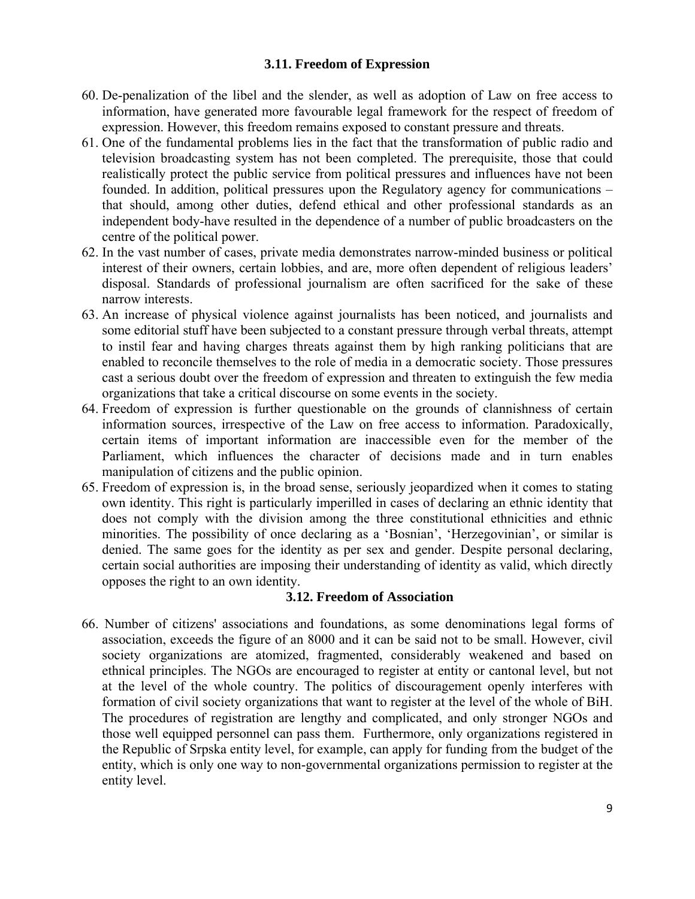### **3.11. Freedom of Expression**

- 60. De-penalization of the libel and the slender, as well as adoption of Law on free access to information, have generated more favourable legal framework for the respect of freedom of expression. However, this freedom remains exposed to constant pressure and threats.
- 61. One of the fundamental problems lies in the fact that the transformation of public radio and television broadcasting system has not been completed. The prerequisite, those that could realistically protect the public service from political pressures and influences have not been founded. In addition, political pressures upon the Regulatory agency for communications – that should, among other duties, defend ethical and other professional standards as an independent body-have resulted in the dependence of a number of public broadcasters on the centre of the political power.
- 62. In the vast number of cases, private media demonstrates narrow-minded business or political interest of their owners, certain lobbies, and are, more often dependent of religious leaders' disposal. Standards of professional journalism are often sacrificed for the sake of these narrow interests.
- 63. An increase of physical violence against journalists has been noticed, and journalists and some editorial stuff have been subjected to a constant pressure through verbal threats, attempt to instil fear and having charges threats against them by high ranking politicians that are enabled to reconcile themselves to the role of media in a democratic society. Those pressures cast a serious doubt over the freedom of expression and threaten to extinguish the few media organizations that take a critical discourse on some events in the society.
- 64. Freedom of expression is further questionable on the grounds of clannishness of certain information sources, irrespective of the Law on free access to information. Paradoxically, certain items of important information are inaccessible even for the member of the Parliament, which influences the character of decisions made and in turn enables manipulation of citizens and the public opinion.
- 65. Freedom of expression is, in the broad sense, seriously jeopardized when it comes to stating own identity. This right is particularly imperilled in cases of declaring an ethnic identity that does not comply with the division among the three constitutional ethnicities and ethnic minorities. The possibility of once declaring as a 'Bosnian', 'Herzegovinian', or similar is denied. The same goes for the identity as per sex and gender. Despite personal declaring, certain social authorities are imposing their understanding of identity as valid, which directly opposes the right to an own identity.

# **3.12. Freedom of Association**

66. Number of citizens' associations and foundations, as some denominations legal forms of association, exceeds the figure of an 8000 and it can be said not to be small. However, civil society organizations are atomized, fragmented, considerably weakened and based on ethnical principles. The NGOs are encouraged to register at entity or cantonal level, but not at the level of the whole country. The politics of discouragement openly interferes with formation of civil society organizations that want to register at the level of the whole of BiH. The procedures of registration are lengthy and complicated, and only stronger NGOs and those well equipped personnel can pass them. Furthermore, only organizations registered in the Republic of Srpska entity level, for example, can apply for funding from the budget of the entity, which is only one way to non-governmental organizations permission to register at the entity level.